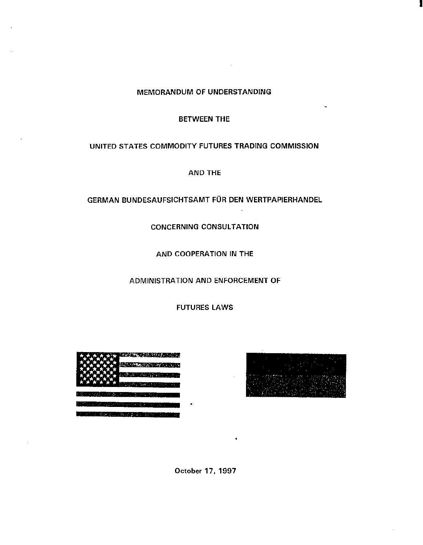## MEMORANDUM OF UNDERSTANDING

## BETWEEN THE

## UNITED STATES COMMODITY FUTURES TRADING COMMISSION

AND THE

# GERMAN BUNDESAUFSICHTSAMT FÜR DEN WERTPAPIERHANDEL

CONCERNING CONSULTATION

AND COOPERATION IN THE

ADMINISTRATION AND ENFORCEMENT OF

FUTURES LAWS





I

**October 17, 1997**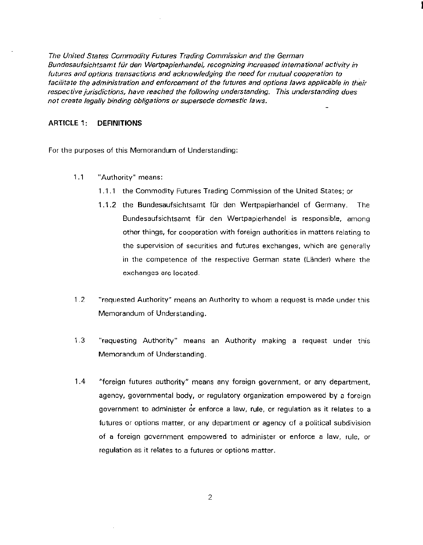*The United States Commodity Futures Trading Commission and the German Bundesaufsichtsamt fiir den Wertpapierhandelf recognizing increased international activity in futures and options transactions and acknowledging the need for mutual cooperation to*  facilitate the administration and enforcement of the futures and options laws applicable in their respective jurisdictions, have reached the following understanding. This understanding does *not create legally binding obligations or supersede domestic laws.* 

## ARTIClE 1: DEFINITIONS

For the purposes of this Memorandum of Understanding:

- 1.1 "Authority" means:
	- 1.1.1 the Commodity Futures Trading Commission of the United States; or
	- 1.1.2 the Bundesaufsichtsamt für den Wertpapierhandel of Germany. The Bundesaufsichtsamt für den Wertpapierhandel is responsible, among other things, for cooperation with foreign authorities in matters relating to the supervision of securities and futures exchanges, which are generally in the competence of the respective German state (Länder) where the exchanges arc located.
- 1.2 "requested Authority" means an Authority to whom a request is made under this Memorandum of Understanding.
- 1.3 "requesting Authority" means an Authority making a request under this Memorandum of Understanding.
- 1.4 "foreign futures authority" means any foreign government, or any department, agency, governmental body, or regulatory organization empowered by a foreign government to administer or enforce a law, rule, or regulation as it relates to a futures or options matter, or any department or agency of a political subdivision of a foreign government empowered to administer or enforce a law, rule, or regulation as it relates to a futures or options matter.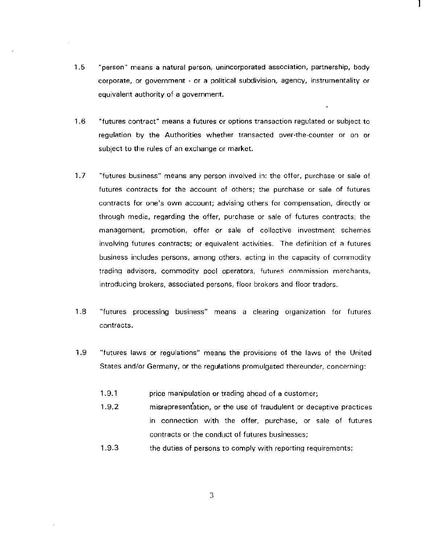- 1.5 "person" means a natural person, unincorporated association, partnership, body corporate, or government - or a political subdivision, agency, instrumentality or equivalent authority of a government.
- 1.6 "futures contract" means a futures or options transaction regulated or subject to regulation by the Authorities whether transacted over-the-counter or on or subject to the rules of an exchange or market.
- 1.7 "futures business" means any person involved in: the offer, purchase or sale of futures contracts for the account of others; the purchase or sale of futures contracts for one's own account; advising others for compensation, directly or through media, regarding the offer, purchase or sale of futures contracts; the management, promotion, offer or sale of collective investment schemes involving futures contracts; or equivalent activities. The definition of a futures business includes persons, among others, acting in the capacity of commodity trading advisors, commodity pool operators, futures commission merchants, introducing brokers, associated persons, floor brokers and floor traders.
- 1 .8 "futures processing business" means a clearing organization for futures contracts.
- 1.9 "futures laws or regulations" means the provisions of the laws of the United States and/or Germany, or the regulations promulgated thereunder, concerning:
	- 1 .9.1 price manipulation or trading ahead of a customer;
	- 1.9.2 misrepresentation, or the use of fraudulent or deceptive practices in connection with the offer, purchase, or sale of futures contracts or the conduct of futures businesses;
	- 1.9.3 the duties of persons to comply with reporting requirements;

3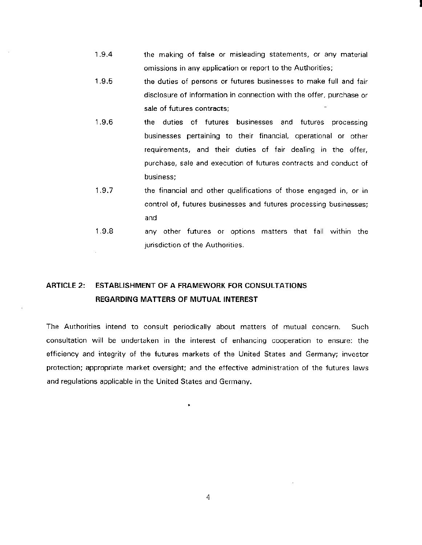1.9.4 the making of false or misleading statements, or any material omissions in any application or report to the Authorities;

I

- 1.9.5 the duties of persons or futures businesses to make full and fair disclosure of information in connection with the offer, purchase or sale of futures contracts;
- 1.9.6 the duties of futures businesses and futures processing businesses pertaining to their financial, operational or other requirements, and their duties of fair dealing in the offer, purchase, sale and execution of futures contracts and conduct of business;
- 1.9.7 the financial and other qualifications of those engaged in, or in control of, futures businesses and futures processing businesses; and
- 1.9.8 any other futures or options matters that fall within the jurisdiction of the Authorities.

# ARTICLE 2: ESTABLISHMENT OF A FRAMEWORK FOR CONSULTATIONS REGARDING MATTERS OF MUTUAL INTEREST

The Authorities intend to consult periodically about matters of mutual concern. Such consultation will be undertaken in the interest of enhancing cooperation to ensure: the efficiency and integrity of the futures markets of the United States and Germany; investor protection; appropriate market oversight; and the effective administration of the futures laws and regulations applicable in the United States and Germany.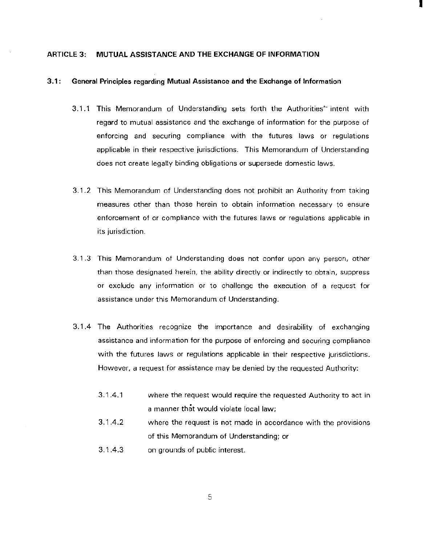## ARTICLE 3: MUTUAL ASSISTANCE AND THE EXCHANGE OF INFORMATION

## **3.1: General Principles regarding Mutual Assistance and the Exchange of Information**

3.1.1 This Memorandum of Understanding sets forth the Authorities<sup>\*</sup> intent with regard to mutual assistance and the exchange of information for the purpose of enforcing and securing compliance with the futures laws or regulations applicable in their respective jurisdictions. This Memorandum of Understanding does not create legal!y binding obligations or supersede domestic laws.

I

- 3.1 .2 This Memorandum of Understanding does not prohibit an Authority from taking measures other than those herein to obtain information necessary to ensure enforcement of or compliance with the futures taws or regulations applicable in its jurisdiction.
- 3.1 .3 This Memorandum of Understanding does not confer upon any person, other than those designated herein, the ability directly or indirectly to obtain, suppress or exclude any information or to challenge the execution of a request for assistance under this Memorandum of Understanding.
- 3.1 .4 The Authorities recognize the importance and desirability of exchanging assistance and information for the purpose of enforcing and securing compliance with the futures laws or regulations applicable in their respective jurisdictions. However, a request for assistance may be denied by the requested Authority:
	- 3.1.4.1 where the request would require the requested Authority to act in a manner that would violate local law;
	- 3.1.4.2 where the request is not made in accordance with the provisions of this Memorandum of Understanding; or
	- 3.1.4.3 on grounds of public interest.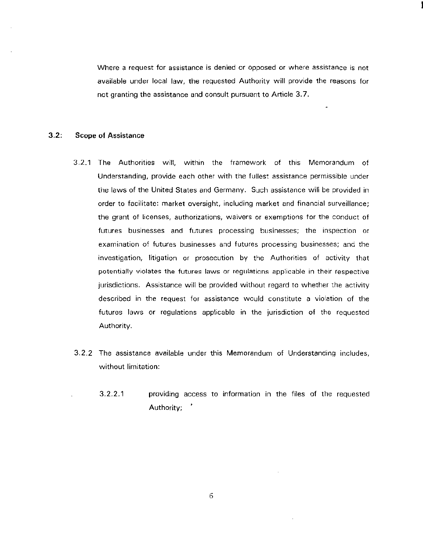Where a request for assistance is denied or opposed or where assistance is not available under local law, the requested Authority will provide the reasons for not granting the assistance and consult pursuant to Article 3. 7.

## 3.2: Scope of Assistance

- 3.2.1 The Authorities will, within the framework of this Memorandum of Understanding, provide each other with the fullest assistance permissible under the laws of the United States and Germany. Such assistance will be provided in order to facilitate: market oversight, including market and financial surveillance; the grant of licenses, authorizations, waivers or exemptions for the conduct of futures businesses and futures processing businesses; the inspection or examination of futures businesses and futures processing businesses; and the investigation, litigation or prosecution by the Authorities of activity that potentially violates the futures laws or regulations applicable in their respective jurisdictions. Assistance will be provided without regard to whether the activity described in the request for assistance would constitute a violation of the futures laws or regulations applicable in the jurisdiction of the requested Authority.
- 3.2.2 The assistance available under this Memorandum of Understanding includes, without limitation:
	- 3.2.2.1 providing access to information in the files of the requested Authority; '

6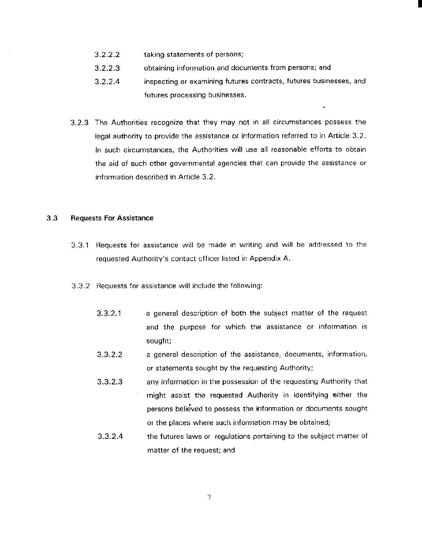- 3.2.2.2 taking statements of persons;
- 3.2.2.3 obtaining information and documents from persons; and
- 3.2.2.4 inspecting or examining futures contracts, futures businesses, and futures processing businesses.

L.

I

3.2.3 The Authorities recognize that they may not in all circumstances possess the legal authority to provide the assistance or information referred to in Article 3.2. In such circumstances, the Authorities will use all reasonable efforts to obtain the aid of such other governmental agencies that can provide the assistance or information described in Article 3.2.

## 3.3 **Requests For Assistance**

- 3.3.1 Requests for assistance will be made in writing and will be addressed to the requested Authority's contact officer listed in Appendix A.
- 3.3.2 Requests for assistance will include the following:
	- 3.3.2.1 a general description of both the subject matter of the request and the purpose for which the assistance or information is sought;
	- 3.3.2.2 a general description of the assistance, documents, information, or statements sought by the requesting Authority;
	- 3.3.2.3 any information in the possession of the requesting Authority that might assist the requested Authority in identifying either the persons believed to possess the information or documents sought or the places where such information may be obtained;
	- 3.3.2.4 the futures laws or regulations pertaining to the subject matter of matter of the request; and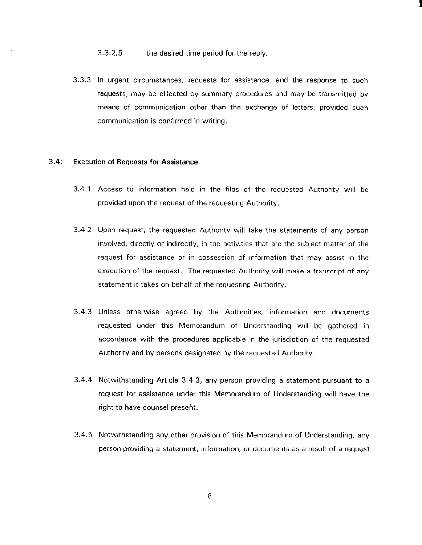#### 3.3.2.5 the desired time period for the reply.

3.3.3 In urgent circumstances, requests for assistance, and the response to such requests, may be effected by summary procedures and may be transmitted by means of communication other than the exchange of letters, provided such communication is confirmed in writing.

I

## 3.4: Execution of Requests for Assistance

- 3.4.1 Access to information held in the files of the requested Authority will be provided upon the request of the requesting Authority.
- 3.4.2 Upon request, the requested Authority will take the statements of any person involved, directly or indirectly, in the activities that are the subject matter of the request for assistance or in possession of information that may assist in the execution of the request. The requested Authority will make a transcript of any statement it takes on behalf of the requesting Authority.
- 3.4.3 Unless otherwise agreed by the Authorities, information and documents requested under this Memorandum of Understanding will be gathered in accordance with the procedures applicable in the jurisdiction of the requested Authority and by persons designated by the requested Authority.
- 3.4.4 Notwithstanding Article 3.4.3, any person providing a statement pursuant to a request for assistance under this Memorandum of Understanding will have the right to have counsel present.
- 3.4.5 Notwithstanding any other provision of this Memorandum of Understanding, any person providing a statement, information, or documents as a result of a request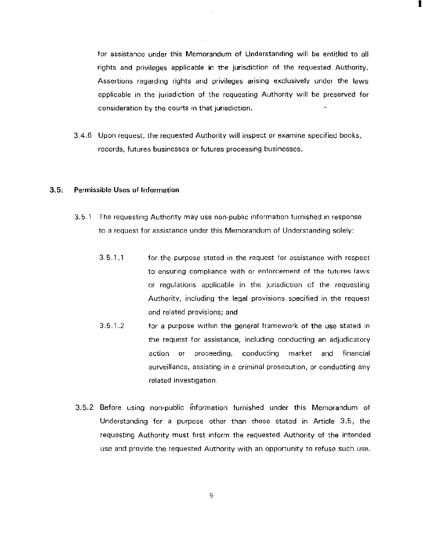for assistance under this Memorandum of Understanding will be entitled to all rights and privileges applicable in the jurisdiction of the requested Authority. Assertions regarding rights and privileges arising exclusively under the laws applicable in the jurisdiction of the requesting Authority will be preserved for consideration by the courts in that jurisdiction.

I

3.4.6 Upon request, the requested Authority will inspect or examine specified books, records, futures businesses or futures processing businesses.

#### **3.5: Permissible** Uses of **Information**

- 3.5. 1 The requesting Authority may use non-public information furnished in response to a request for assistance under this Memorandum of Understanding solely:
	- $3.5.1.1$ for the purpose stated in the request for assistance with respect to ensuring compliance with or enforcement of the futures laws or regulations applicable in the jurisdiction of the requesting Authority, including the legal provisions specified in the request and related provisions; and
	- 3.5.1.2 for a purpose within the general framework of the use stated in the request for assistance, including conducting an adjudicatory action or proceeding, conducting market and financial surveillance, assisting in a criminal prosecution, or conducting any related investigation.
- 3.5.2 Before using non-public information furnished under this Memorandum of Understanding for a purpose other than those stated in Article 3.5, the requesting Authority must first inform the requested Authority of the intended use and provide the requested Authority with an opportunity to refuse such use.

9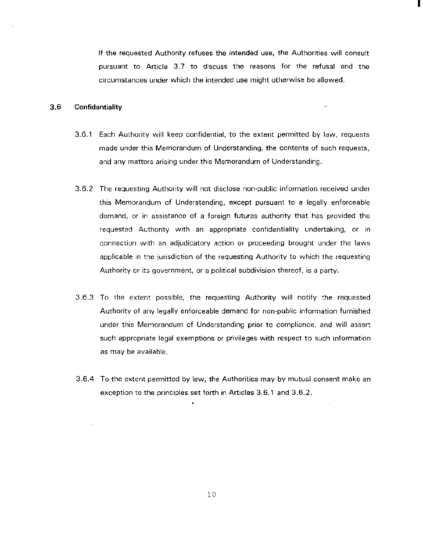If the requested Authority refuses the intended use, the Authorities will consult pursuant to Article 3.7 to discuss the reasons for the refusal and the circumstances under which the intended use might otherwise be allowed.

I

## 3.6 **Confidentiality**

- 3.6.1 Each Authority will keep confidential, to the extent permitted by law, requests made under this Memorandum of Understanding, the contents of such requests, and any matters arising under this Memorandum of Understanding.
- 3.6.2 The requesting Authority will not disclose non-public information received under this Memorandum of Understanding, except pursuant to a legally enforceable demand, or in assistance of a foreign futures authority that has provided the requested Authority with an appropriate confidentiality undertaking, or in connection with an adjudicatory action or proceeding brought under the laws applicable in the jurisdiction of the requesting Authority to which the requesting Authority or its government, or a political subdivision thereof, is a party.
- 3.6.3 To the extent possible, the requesting Authority will notify the requested Authority of any legally enforceable demand for non-public information furnished under this Memorandum of Understanding prior to compliance, and will assert such appropriate legal exemptions or privileges with respect to such information as may be available.
- 3.6.4 To the extent permitted by law, the Authorities may by mutual consent make an exception to the principles set forth in Articles 3.6.1 and 3.6.2.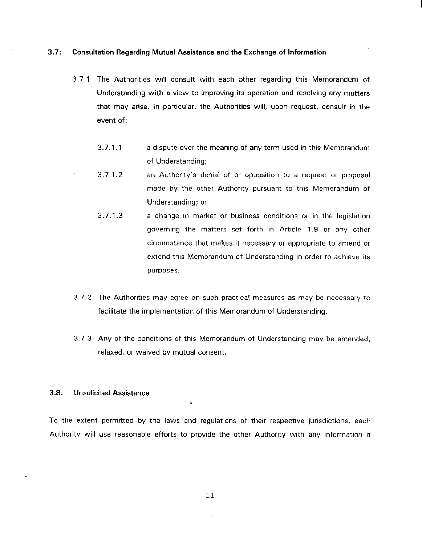## 3.7: Consultation Regarding Mutual Assistance and the Exchange of Information

- 3. 7.1 The Authorities will consult with each other regarding this Memorandum of Understanding with a view to improving its operation and resolving any matters that may arise. In particular, the Authorities will, upon request, consult in the event of:
	- 3.7.1.1 a dispute over the meaning of any term used in this Memorandum of Understanding;
	- 3.7.1.2 an Authority's denial of or opposition to a request or proposal made by the other Authority pursuant to this Memorandum of Understanding; or
	- 3.7.1.3 a change in market or business conditions or in the legislation governing the matters set forth in Article 1.9 or any other circumstance that makes it necessary or appropriate to amend or extend this Memorandum of Understanding in order to achieve its purposes.
- 3.7.2 The Authorities may agree on such practical measures as may be necessary to facilitate the implementation of this Memorandum of Understanding.
- 3. 7.3 Any of the conditions of this Memorandum of Understanding may be amended, relaxed, or waived by mutual consent.

## 3.8: Unsolicited Assistance

To the extent permitted by the laws and regulations of their respective jurisdictions, each Authority will use reasonable efforts to provide the other Authority with any information it

11

 $\bar{z}$